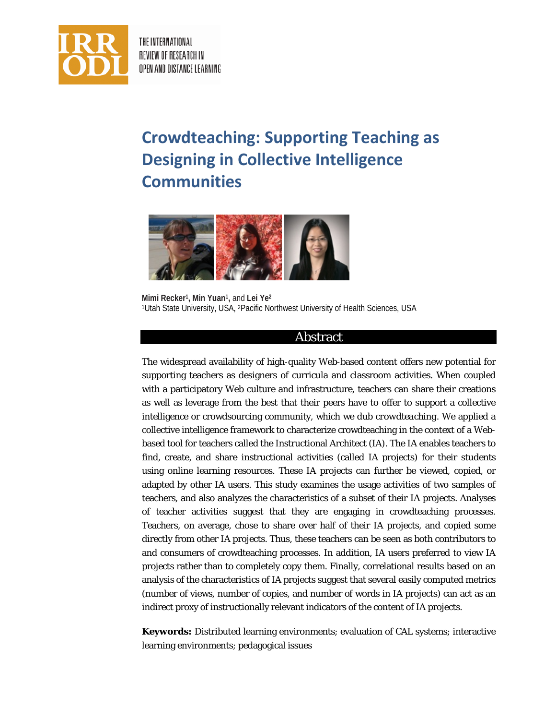

THE INTERNATIONAL REVIEW OF RESEARCH IN OPEN AND DISTANCE LEARNING

# **Crowdteaching: Supporting Teaching as Designing in Collective Intelligence Communities**



**Mimi Recker1, Min Yuan1,** and **Lei Ye2** 1Utah State University, USA, 2Pacific Northwest University of Health Sciences, USA

### Abstract

The widespread availability of high-quality Web-based content offers new potential for supporting teachers as designers of curricula and classroom activities. When coupled with a participatory Web culture and infrastructure, teachers can share their creations as well as leverage from the best that their peers have to offer to support a collective intelligence or crowdsourcing community, which we dub *crowdteaching*. We applied a collective intelligence framework to characterize crowdteaching in the context of a Webbased tool for teachers called the Instructional Architect (IA). The IA enables teachers to find, create, and share instructional activities (called IA projects) for their students using online learning resources. These IA projects can further be viewed, copied, or adapted by other IA users. This study examines the usage activities of two samples of teachers, and also analyzes the characteristics of a subset of their IA projects. Analyses of teacher activities suggest that they are engaging in crowdteaching processes. Teachers, on average, chose to share over half of their IA projects, and copied some directly from other IA projects. Thus, these teachers can be seen as both contributors to and consumers of crowdteaching processes. In addition, IA users preferred to view IA projects rather than to completely copy them. Finally, correlational results based on an analysis of the characteristics of IA projects suggest that several easily computed metrics (number of views, number of copies, and number of words in IA projects) can act as an indirect proxy of instructionally relevant indicators of the content of IA projects.

**Keywords:** Distributed learning environments; evaluation of CAL systems; interactive learning environments; pedagogical issues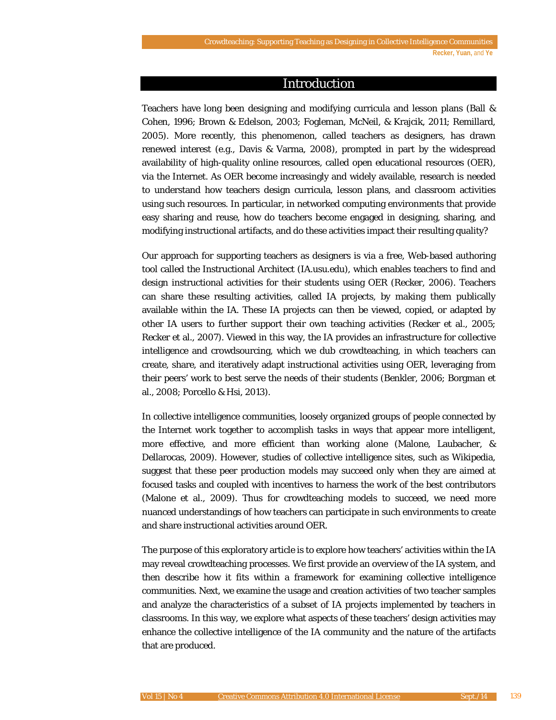#### Introduction

Teachers have long been designing and modifying curricula and lesson plans (Ball & Cohen, 1996; Brown & Edelson, 2003; Fogleman, McNeil, & Krajcik, 2011; Remillard, 2005). More recently, this phenomenon, called teachers as designers, has drawn renewed interest (e.g., Davis & Varma, 2008), prompted in part by the widespread availability of high-quality online resources, called open educational resources (OER), via the Internet. As OER become increasingly and widely available, research is needed to understand how teachers design curricula, lesson plans, and classroom activities using such resources. In particular, in networked computing environments that provide easy sharing and reuse, how do teachers become engaged in designing, sharing, and modifying instructional artifacts, and do these activities impact their resulting quality?

Our approach for supporting teachers as designers is via a free, Web-based authoring tool called the Instructional Architect (IA.usu.edu), which enables teachers to find and design instructional activities for their students using OER (Recker, 2006). Teachers can share these resulting activities, called IA projects, by making them publically available within the IA. These IA projects can then be viewed, copied, or adapted by other IA users to further support their own teaching activities (Recker et al., 2005; Recker et al., 2007). Viewed in this way, the IA provides an infrastructure for collective intelligence and crowdsourcing, which we dub crowdteaching, in which teachers can create, share, and iteratively adapt instructional activities using OER, leveraging from their peers' work to best serve the needs of their students (Benkler, 2006; Borgman et al., 2008; Porcello & Hsi, 2013).

In collective intelligence communities, loosely organized groups of people connected by the Internet work together to accomplish tasks in ways that appear more intelligent, more effective, and more efficient than working alone (Malone, Laubacher, & Dellarocas, 2009). However, studies of collective intelligence sites, such as Wikipedia, suggest that these peer production models may succeed only when they are aimed at focused tasks and coupled with incentives to harness the work of the best contributors (Malone et al., 2009). Thus for crowdteaching models to succeed, we need more nuanced understandings of how teachers can participate in such environments to create and share instructional activities around OER.

The purpose of this exploratory article is to explore how teachers' activities within the IA may reveal crowdteaching processes. We first provide an overview of the IA system, and then describe how it fits within a framework for examining collective intelligence communities. Next, we examine the usage and creation activities of two teacher samples and analyze the characteristics of a subset of IA projects implemented by teachers in classrooms. In this way, we explore what aspects of these teachers' design activities may enhance the collective intelligence of the IA community and the nature of the artifacts that are produced.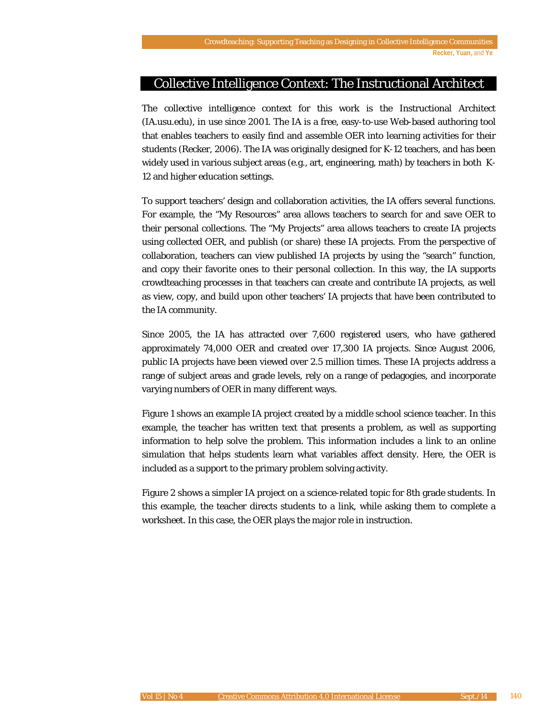### Collective Intelligence Context: The Instructional Architect

The collective intelligence context for this work is the Instructional Architect (IA.usu.edu), in use since 2001. The IA is a free, easy-to-use Web-based authoring tool that enables teachers to easily find and assemble OER into learning activities for their students (Recker, 2006). The IA was originally designed for K-12 teachers, and has been widely used in various subject areas (e.g., art, engineering, math) by teachers in both K-12 and higher education settings.

To support teachers' design and collaboration activities, the IA offers several functions. For example, the "My Resources" area allows teachers to search for and save OER to their personal collections. The "My Projects" area allows teachers to create IA projects using collected OER, and publish (or share) these IA projects. From the perspective of collaboration, teachers can view published IA projects by using the "search" function, and copy their favorite ones to their personal collection. In this way, the IA supports crowdteaching processes in that teachers can create and contribute IA projects, as well as view, copy, and build upon other teachers' IA projects that have been contributed to the IA community.

Since 2005, the IA has attracted over 7,600 registered users, who have gathered approximately 74,000 OER and created over 17,300 IA projects. Since August 2006, public IA projects have been viewed over 2.5 million times. These IA projects address a range of subject areas and grade levels, rely on a range of pedagogies, and incorporate varying numbers of OER in many different ways.

Figure 1 shows an example IA project created by a middle school science teacher. In this example, the teacher has written text that presents a problem, as well as supporting information to help solve the problem. This information includes a link to an online simulation that helps students learn what variables affect density. Here, the OER is included as a support to the primary problem solving activity.

Figure 2 shows a simpler IA project on a science-related topic for 8th grade students. In this example, the teacher directs students to a link, while asking them to complete a worksheet. In this case, the OER plays the major role in instruction.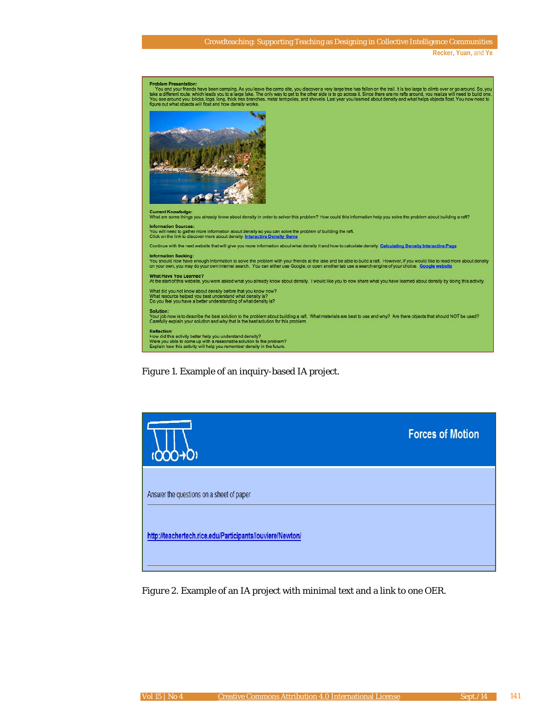#### Crowdteaching: Supporting Teaching as Designing in Collective Intelligence Communities

**Recker, Yuan,** and **Ye**



*Figure 1.* Example of an inquiry-based IA project.

| $100 - 5$                                                 | <b>Forces of Motion</b> |
|-----------------------------------------------------------|-------------------------|
| Answer the questions on a sheet of paper                  |                         |
| http://teachertech.rice.edu/Participants/louviere/Newton/ |                         |

*Figure 2.* Example of an IA project with minimal text and a link to one OER.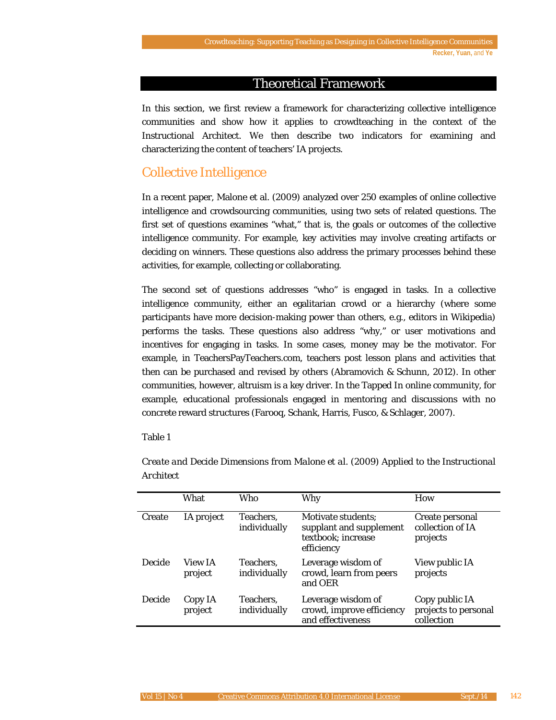### Theoretical Framework

In this section, we first review a framework for characterizing collective intelligence communities and show how it applies to crowdteaching in the context of the Instructional Architect. We then describe two indicators for examining and characterizing the content of teachers' IA projects.

### Collective Intelligence

In a recent paper, Malone et al. (2009) analyzed over 250 examples of online collective intelligence and crowdsourcing communities, using two sets of related questions. The first set of questions examines "what," that is, the goals or outcomes of the collective intelligence community. For example, key activities may involve creating artifacts or deciding on winners. These questions also address the primary processes behind these activities, for example, collecting or collaborating.

The second set of questions addresses "who" is engaged in tasks. In a collective intelligence community, either an egalitarian crowd or a hierarchy (where some participants have more decision-making power than others, e.g., editors in Wikipedia) performs the tasks. These questions also address "why," or user motivations and incentives for engaging in tasks. In some cases, money may be the motivator. For example, in TeachersPayTeachers.com, teachers post lesson plans and activities that then can be purchased and revised by others (Abramovich & Schunn, 2012). In other communities, however, altruism is a key driver. In the Tapped In online community, for example, educational professionals engaged in mentoring and discussions with no concrete reward structures (Farooq, Schank, Harris, Fusco, & Schlager, 2007).

#### Table 1

|        | What               | Who                       | Why                                                                               | How                                                  |
|--------|--------------------|---------------------------|-----------------------------------------------------------------------------------|------------------------------------------------------|
| Create | IA project         | Teachers,<br>individually | Motivate students;<br>supplant and supplement<br>textbook; increase<br>efficiency | Create personal<br>collection of IA<br>projects      |
| Decide | View IA<br>project | Teachers.<br>individually | Leverage wisdom of<br>crowd, learn from peers<br>and OER                          | View public IA<br>projects                           |
| Decide | Copy IA<br>project | Teachers,<br>individually | Leverage wisdom of<br>crowd, improve efficiency<br>and effectiveness              | Copy public IA<br>projects to personal<br>collection |

*Create and Decide Dimensions from Malone et al. (2009) Applied to the Instructional Architect*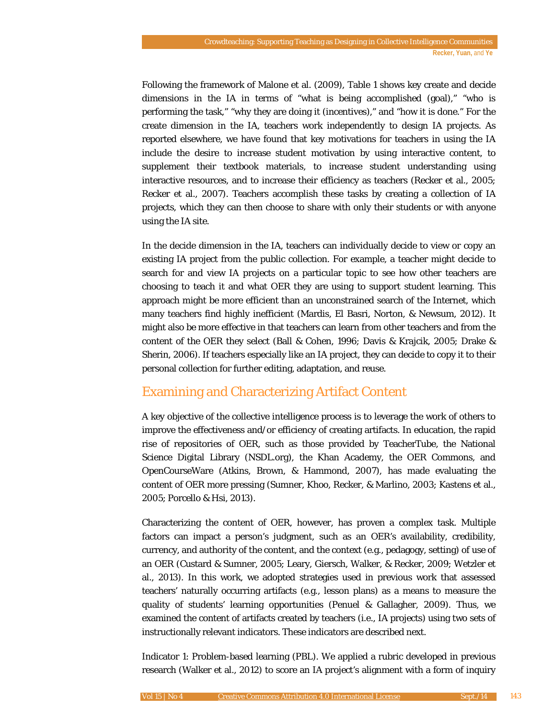Following the framework of Malone et al. (2009), Table 1 shows key create and decide dimensions in the IA in terms of "what is being accomplished (goal)," "who is performing the task," "why they are doing it (incentives)," and "how it is done." For the create dimension in the IA, teachers work independently to design IA projects. As reported elsewhere, we have found that key motivations for teachers in using the IA include the desire to increase student motivation by using interactive content, to supplement their textbook materials, to increase student understanding using interactive resources, and to increase their efficiency as teachers (Recker et al., 2005; Recker et al., 2007). Teachers accomplish these tasks by creating a collection of IA projects, which they can then choose to share with only their students or with anyone using the IA site.

In the decide dimension in the IA, teachers can individually decide to view or copy an existing IA project from the public collection. For example, a teacher might decide to search for and view IA projects on a particular topic to see how other teachers are choosing to teach it and what OER they are using to support student learning. This approach might be more efficient than an unconstrained search of the Internet, which many teachers find highly inefficient (Mardis, El Basri, Norton, & Newsum, 2012). It might also be more effective in that teachers can learn from other teachers and from the content of the OER they select (Ball & Cohen, 1996; Davis & Krajcik, 2005; Drake & Sherin, 2006). If teachers especially like an IA project, they can decide to copy it to their personal collection for further editing, adaptation, and reuse.

### Examining and Characterizing Artifact Content

A key objective of the collective intelligence process is to leverage the work of others to improve the effectiveness and/or efficiency of creating artifacts. In education, the rapid rise of repositories of OER, such as those provided by TeacherTube, the National Science Digital Library (NSDL.org), the Khan Academy, the OER Commons, and OpenCourseWare (Atkins, Brown, & Hammond, 2007), has made evaluating the content of OER more pressing (Sumner, Khoo, Recker, & Marlino, 2003; Kastens et al., 2005; Porcello & Hsi, 2013).

Characterizing the content of OER, however, has proven a complex task. Multiple factors can impact a person's judgment, such as an OER's availability, credibility, currency, and authority of the content, and the context (e.g., pedagogy, setting) of use of an OER (Custard & Sumner, 2005; Leary, Giersch, Walker, & Recker, 2009; Wetzler et al., 2013). In this work, we adopted strategies used in previous work that assessed teachers' naturally occurring artifacts (e.g., lesson plans) as a means to measure the quality of students' learning opportunities (Penuel & Gallagher, 2009). Thus, we examined the content of artifacts created by teachers (i.e., IA projects) using two sets of instructionally relevant indicators. These indicators are described next.

Indicator 1: Problem-based learning (PBL). We applied a rubric developed in previous research (Walker et al., 2012) to score an IA project's alignment with a form of inquiry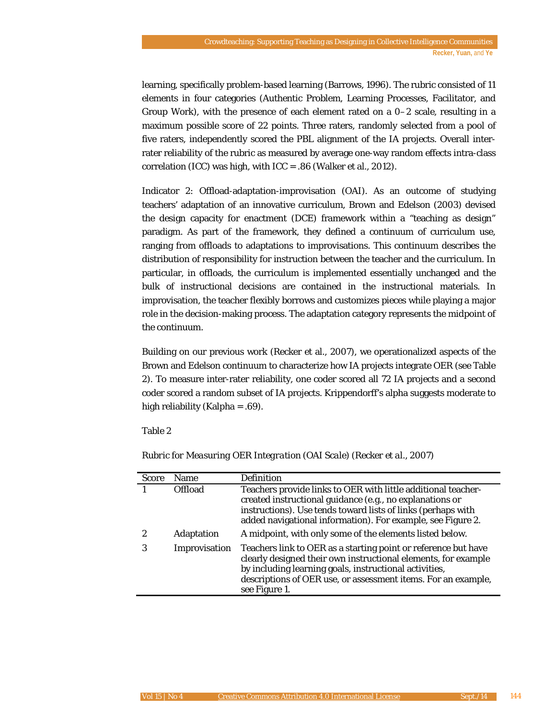learning, specifically problem-based learning (Barrows, 1996). The rubric consisted of 11 elements in four categories (Authentic Problem, Learning Processes, Facilitator, and Group Work), with the presence of each element rated on a 0–2 scale, resulting in a maximum possible score of 22 points. Three raters, randomly selected from a pool of five raters, independently scored the PBL alignment of the IA projects. Overall interrater reliability of the rubric as measured by average one-way random effects intra-class correlation (ICC) was high, with ICC = .86 (Walker et al., 2012).

Indicator 2: Offload-adaptation-improvisation (OAI). As an outcome of studying teachers' adaptation of an innovative curriculum, Brown and Edelson (2003) devised the design capacity for enactment (DCE) framework within a "teaching as design" paradigm. As part of the framework, they defined a continuum of curriculum use, ranging from offloads to adaptations to improvisations. This continuum describes the distribution of responsibility for instruction between the teacher and the curriculum. In particular, in offloads, the curriculum is implemented essentially unchanged and the bulk of instructional decisions are contained in the instructional materials. In improvisation, the teacher flexibly borrows and customizes pieces while playing a major role in the decision-making process. The adaptation category represents the midpoint of the continuum.

Building on our previous work (Recker et al., 2007), we operationalized aspects of the Brown and Edelson continuum to characterize how IA projects integrate OER (see Table 2). To measure inter-rater reliability, one coder scored all 72 IA projects and a second coder scored a random subset of IA projects. Krippendorff's alpha suggests moderate to high reliability (Kalpha = .69).

#### Table 2

| Score | <b>Name</b>       | Definition                                                                                                                                                                                                                                                                   |
|-------|-------------------|------------------------------------------------------------------------------------------------------------------------------------------------------------------------------------------------------------------------------------------------------------------------------|
|       | <b>Offload</b>    | Teachers provide links to OER with little additional teacher-<br>created instructional guidance (e.g., no explanations or<br>instructions). Use tends toward lists of links (perhaps with<br>added navigational information). For example, see Figure 2.                     |
|       | <b>Adaptation</b> | A midpoint, with only some of the elements listed below.                                                                                                                                                                                                                     |
|       | Improvisation     | Teachers link to OER as a starting point or reference but have<br>clearly designed their own instructional elements, for example<br>by including learning goals, instructional activities,<br>descriptions of OER use, or assessment items. For an example,<br>see Figure 1. |

*Rubric for Measuring OER Integration (OAI Scale) (Recker et al., 2007)*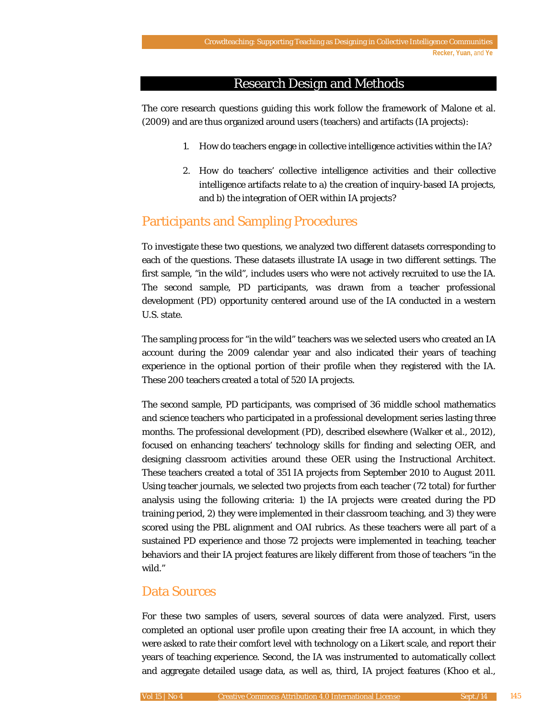### Research Design and Methods

The core research questions guiding this work follow the framework of Malone et al. (2009) and are thus organized around users (teachers) and artifacts (IA projects):

- 1. How do teachers engage in collective intelligence activities within the IA?
- 2. How do teachers' collective intelligence activities and their collective intelligence artifacts relate to a) the creation of inquiry-based IA projects, and b) the integration of OER within IA projects?

### Participants and Sampling Procedures

To investigate these two questions, we analyzed two different datasets corresponding to each of the questions. These datasets illustrate IA usage in two different settings. The first sample, "in the wild", includes users who were not actively recruited to use the IA. The second sample, PD participants, was drawn from a teacher professional development (PD) opportunity centered around use of the IA conducted in a western U.S. state.

The sampling process for "in the wild" teachers was we selected users who created an IA account during the 2009 calendar year and also indicated their years of teaching experience in the optional portion of their profile when they registered with the IA. These 200 teachers created a total of 520 IA projects.

The second sample, PD participants, was comprised of 36 middle school mathematics and science teachers who participated in a professional development series lasting three months. The professional development (PD), described elsewhere (Walker et al., 2012), focused on enhancing teachers' technology skills for finding and selecting OER, and designing classroom activities around these OER using the Instructional Architect. These teachers created a total of 351 IA projects from September 2010 to August 2011. Using teacher journals, we selected two projects from each teacher (72 total) for further analysis using the following criteria: 1) the IA projects were created during the PD training period, 2) they were implemented in their classroom teaching, and 3) they were scored using the PBL alignment and OAI rubrics. As these teachers were all part of a sustained PD experience and those 72 projects were implemented in teaching, teacher behaviors and their IA project features are likely different from those of teachers "in the wild."

### Data Sources

For these two samples of users, several sources of data were analyzed. First, users completed an optional user profile upon creating their free IA account, in which they were asked to rate their comfort level with technology on a Likert scale, and report their years of teaching experience. Second, the IA was instrumented to automatically collect and aggregate detailed usage data, as well as, third, IA project features (Khoo et al.,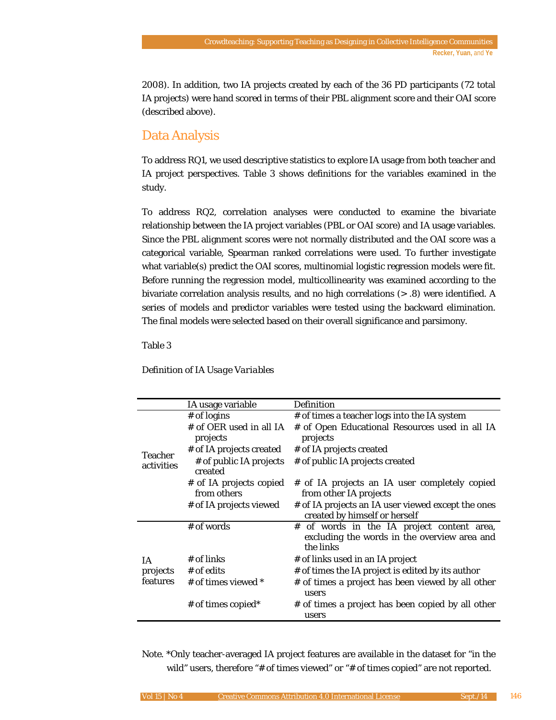2008). In addition, two IA projects created by each of the 36 PD participants (72 total IA projects) were hand scored in terms of their PBL alignment score and their OAI score (described above).

### Data Analysis

To address RQ1, we used descriptive statistics to explore IA usage from both teacher and IA project perspectives. Table 3 shows definitions for the variables examined in the study.

To address RQ2, correlation analyses were conducted to examine the bivariate relationship between the IA project variables (PBL or OAI score) and IA usage variables. Since the PBL alignment scores were not normally distributed and the OAI score was a categorical variable, Spearman ranked correlations were used. To further investigate what variable(s) predict the OAI scores, multinomial logistic regression models were fit. Before running the regression model, multicollinearity was examined according to the bivariate correlation analysis results, and no high correlations (> .8) were identified. A series of models and predictor variables were tested using the backward elimination. The final models were selected based on their overall significance and parsimony.

### Table 3

### *Definition of IA Usage Variables*

|                              | IA usage variable                      | Definition                                                                                              |
|------------------------------|----------------------------------------|---------------------------------------------------------------------------------------------------------|
|                              | $#$ of logins                          | # of times a teacher logs into the IA system                                                            |
| <b>Teacher</b><br>activities | # of OER used in all IA<br>projects    | # of Open Educational Resources used in all IA<br>projects                                              |
|                              | # of IA projects created               | # of IA projects created                                                                                |
|                              | # of public IA projects<br>created     | # of public IA projects created                                                                         |
|                              | # of IA projects copied<br>from others | # of IA projects an IA user completely copied<br>from other IA projects                                 |
|                              | # of IA projects viewed                | # of IA projects an IA user viewed except the ones<br>created by himself or herself                     |
|                              | # of words                             | # of words in the IA project content area,<br>excluding the words in the overview area and<br>the links |
| <b>IA</b>                    | $#$ of links                           | # of links used in an IA project                                                                        |
| projects                     | # of edits                             | # of times the IA project is edited by its author                                                       |
| <b>features</b>              | # of times viewed *                    | # of times a project has been viewed by all other<br>users                                              |
|                              | # of times copied*                     | # of times a project has been copied by all other<br>users                                              |

*Note*. \*Only teacher-averaged IA project features are available in the dataset for "in the wild" users, therefore "# of times viewed" or "# of times copied" are not reported.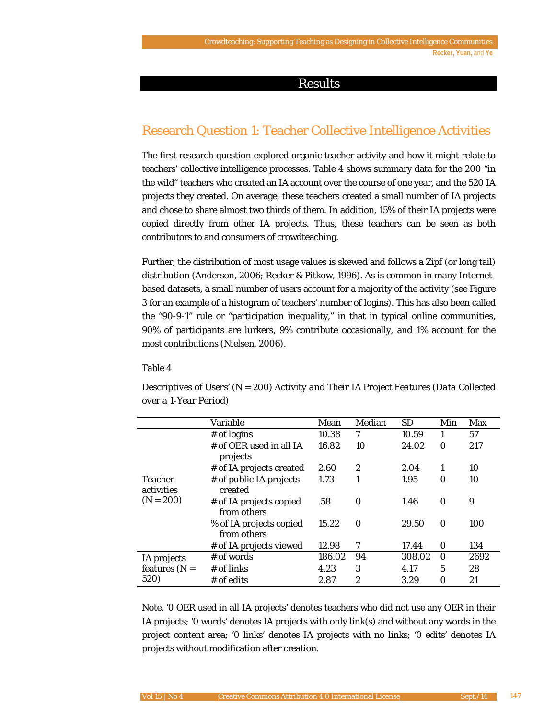### Results

### Research Question 1: Teacher Collective Intelligence Activities

The first research question explored organic teacher activity and how it might relate to teachers' collective intelligence processes. Table 4 shows summary data for the 200 "in the wild" teachers who created an IA account over the course of one year, and the 520 IA projects they created. On average, these teachers created a small number of IA projects and chose to share almost two thirds of them. In addition, 15% of their IA projects were copied directly from other IA projects. Thus, these teachers can be seen as both contributors to and consumers of crowdteaching.

Further, the distribution of most usage values is skewed and follows a Zipf (or long tail) distribution (Anderson, 2006; Recker & Pitkow, 1996). As is common in many Internetbased datasets, a small number of users account for a majority of the activity (see Figure 3 for an example of a histogram of teachers' number of logins). This has also been called the "90-9-1" rule or "participation inequality," in that in typical online communities, 90% of participants are lurkers, 9% contribute occasionally, and 1% account for the most contributions (Nielsen, 2006).

#### Table 4

|                              | Variable                               | Mean   | Median         | <b>SD</b> | Min      | Max  |
|------------------------------|----------------------------------------|--------|----------------|-----------|----------|------|
|                              | # of logins                            | 10.38  | 7              | 10.59     |          | 57   |
|                              | # of OER used in all IA<br>projects    | 16.82  | 10             | 24.02     | $\Omega$ | 217  |
|                              | # of IA projects created               | 2.60   | $\overline{2}$ | 2.04      |          | 10   |
| <b>Teacher</b><br>activities | # of public IA projects<br>created     | 1.73   | 1              | 1.95      | $\Omega$ | 10   |
| $(N = 200)$                  | # of IA projects copied<br>from others | .58    | $\Omega$       | 1.46      | $\Omega$ | 9    |
|                              | % of IA projects copied<br>from others | 15.22  | $\Omega$       | 29.50     | $\Omega$ | 100  |
|                              | # of IA projects viewed                | 12.98  | 7              | 17.44     | $\Omega$ | 134  |
| IA projects                  | $#$ of words                           | 186.02 | 94             | 308.02    | $\Omega$ | 2692 |
| features $(N=$               | $#$ of links                           | 4.23   | 3              | 4.17      | 5        | 28   |
| 520)                         | # of edits                             | 2.87   | $\mathbf{2}$   | 3.29      | 0        | 21   |

*Descriptives of Users' (N = 200) Activity and Their IA Project Features (Data Collected over a 1-Year Period)*

*Note*. '0 OER used in all IA projects' denotes teachers who did not use any OER in their IA projects; '0 words' denotes IA projects with only link(s) and without any words in the project content area; '0 links' denotes IA projects with no links; '0 edits' denotes IA projects without modification after creation.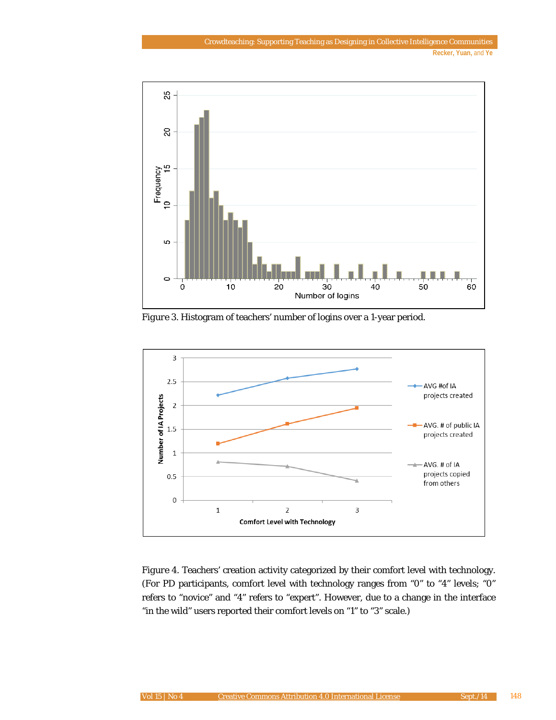

*Figure 3.* Histogram of teachers' number of logins over a 1-year period.



*Figure 4*. Teachers' creation activity categorized by their comfort level with technology. (For PD participants, comfort level with technology ranges from "0" to "4" levels; "0" refers to "novice" and "4" refers to "expert". However, due to a change in the interface "in the wild" users reported their comfort levels on "1" to "3" scale.)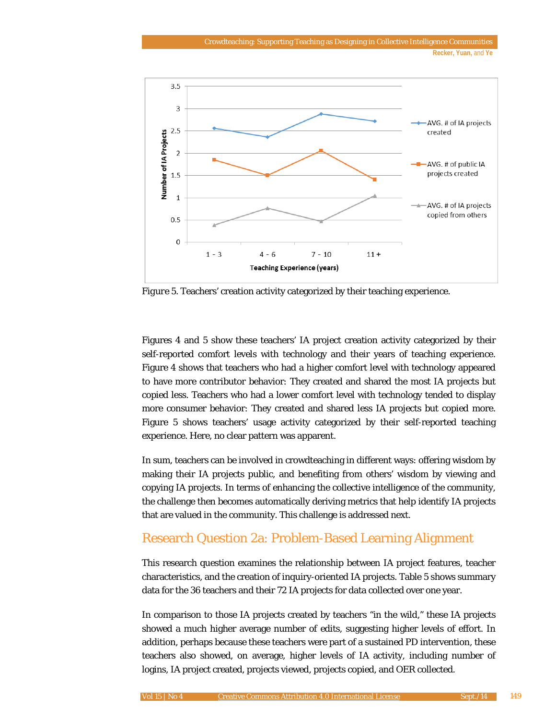

*Figure 5.* Teachers' creation activity categorized by their teaching experience.

Figures 4 and 5 show these teachers' IA project creation activity categorized by their self-reported comfort levels with technology and their years of teaching experience. Figure 4 shows that teachers who had a higher comfort level with technology appeared to have more contributor behavior: They created and shared the most IA projects but copied less. Teachers who had a lower comfort level with technology tended to display more consumer behavior: They created and shared less IA projects but copied more. Figure 5 shows teachers' usage activity categorized by their self-reported teaching experience. Here, no clear pattern was apparent.

In sum, teachers can be involved in crowdteaching in different ways: offering wisdom by making their IA projects public, and benefiting from others' wisdom by viewing and copying IA projects. In terms of enhancing the collective intelligence of the community, the challenge then becomes automatically deriving metrics that help identify IA projects that are valued in the community. This challenge is addressed next.

### Research Question 2a: Problem-Based Learning Alignment

This research question examines the relationship between IA project features, teacher characteristics, and the creation of inquiry-oriented IA projects. Table 5 shows summary data for the 36 teachers and their 72 IA projects for data collected over one year.

In comparison to those IA projects created by teachers "in the wild," these IA projects showed a much higher average number of edits, suggesting higher levels of effort. In addition, perhaps because these teachers were part of a sustained PD intervention, these teachers also showed, on average, higher levels of IA activity, including number of logins, IA project created, projects viewed, projects copied, and OER collected.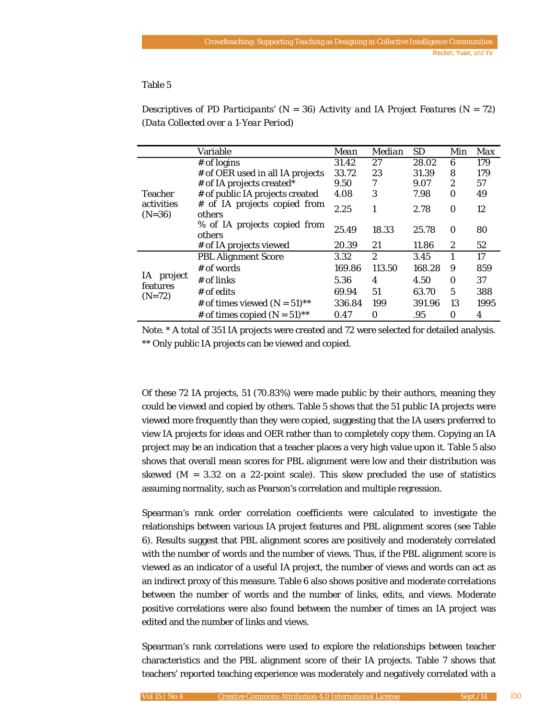### Table 5

|                                       | Variable                               | Mean   | <b>Median</b> | <b>SD</b> | Min      | Max  |
|---------------------------------------|----------------------------------------|--------|---------------|-----------|----------|------|
|                                       | $#$ of logins                          | 31.42  | 27            | 28.02     | 6        | 179  |
|                                       | # of OER used in all IA projects       | 33.72  | 23            | 31.39     | 8        | 179  |
|                                       | # of IA projects created*              | 9.50   | 7             | 9.07      | 2        | 57   |
| <b>Teacher</b>                        | # of public IA projects created        | 4.08   | 3             | 7.98      | $\Omega$ | 49   |
| activities<br>$(N=36)$                | # of IA projects copied from<br>others | 2.25   | 1             | 2.78      | 0        | 12   |
|                                       | % of IA projects copied from<br>others | 25.49  | 18.33         | 25.78     | 0        | 80   |
|                                       | # of IA projects viewed                | 20.39  | 21            | 11.86     | 2        | 52   |
|                                       | <b>PBL Alignment Score</b>             | 3.32   | $\mathbf{2}$  | 3.45      |          | 17   |
|                                       | $#$ of words                           | 169.86 | 113.50        | 168.28    | 9        | 859  |
| project<br>IA<br>features<br>$(N=72)$ | # of links                             | 5.36   | 4             | 4.50      | 0        | 37   |
|                                       | $#$ of edits                           | 69.94  | 51            | 63.70     | 5        | 388  |
|                                       | # of times viewed $(N = 51)$ **        | 336.84 | 199           | 391.96    | 13       | 1995 |
|                                       | # of times copied $(N = 51)$ **        | 0.47   | $\Omega$      | .95       | 0        | 4    |

*Descriptives of PD Participants' (N = 36) Activity and IA Project Features (N = 72) (Data Collected over a 1-Year Period)*

*Note*. \* A total of 351 IA projects were created and 72 were selected for detailed analysis. \*\* Only public IA projects can be viewed and copied.

Of these 72 IA projects, 51 (70.83%) were made public by their authors, meaning they could be viewed and copied by others. Table 5 shows that the 51 public IA projects were viewed more frequently than they were copied, suggesting that the IA users preferred to view IA projects for ideas and OER rather than to completely copy them. Copying an IA project may be an indication that a teacher places a very high value upon it. Table 5 also shows that overall mean scores for PBL alignment were low and their distribution was skewed  $(M = 3.32$  on a 22-point scale). This skew precluded the use of statistics assuming normality, such as Pearson's correlation and multiple regression.

Spearman's rank order correlation coefficients were calculated to investigate the relationships between various IA project features and PBL alignment scores (see Table 6). Results suggest that PBL alignment scores are positively and moderately correlated with the number of words and the number of views. Thus, if the PBL alignment score is viewed as an indicator of a useful IA project, the number of views and words can act as an indirect proxy of this measure. Table 6 also shows positive and moderate correlations between the number of words and the number of links, edits, and views. Moderate positive correlations were also found between the number of times an IA project was edited and the number of links and views.

Spearman's rank correlations were used to explore the relationships between teacher characteristics and the PBL alignment score of their IA projects. Table 7 shows that teachers' reported teaching experience was moderately and negatively correlated with a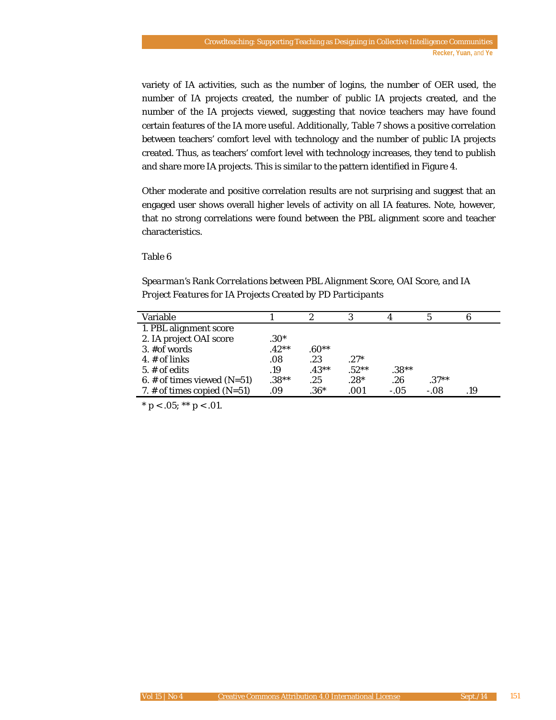variety of IA activities, such as the number of logins, the number of OER used, the number of IA projects created, the number of public IA projects created, and the number of the IA projects viewed, suggesting that novice teachers may have found certain features of the IA more useful. Additionally, Table 7 shows a positive correlation between teachers' comfort level with technology and the number of public IA projects created. Thus, as teachers' comfort level with technology increases, they tend to publish and share more IA projects. This is similar to the pattern identified in Figure 4.

Other moderate and positive correlation results are not surprising and suggest that an engaged user shows overall higher levels of activity on all IA features. Note, however, that no strong correlations were found between the PBL alignment score and teacher characteristics.

Table 6

*Spearman's Rank Correlations between PBL Alignment Score, OAI Score, and IA Project Features for IA Projects Created by PD Participants*

| Variable                      |         | 2       | 3       |         |         |     |
|-------------------------------|---------|---------|---------|---------|---------|-----|
| 1. PBL alignment score        |         |         |         |         |         |     |
| 2. IA project OAI score       | $.30*$  |         |         |         |         |     |
| $3.4$ to f words              | $.42**$ | $.60**$ |         |         |         |     |
| 4. $\#$ of links              | .08     | .23     | $.27^*$ |         |         |     |
| $5.$ # of edits               | .19     | $.43**$ | $.52**$ | $.38**$ |         |     |
| 6. # of times viewed $(N=51)$ | $.38**$ | .25     | $.28*$  | .26     | $.37**$ |     |
| 7. # of times copied $(N=51)$ | .09     | $.36*$  | .001    | $-.05$  | $-.08$  | .19 |

 $*$  *p* < .05; \*\* *p* < .01.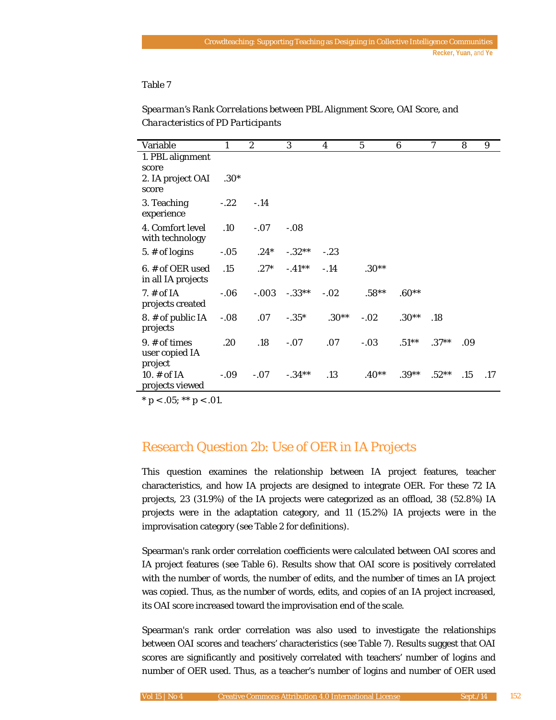### Table 7

*Spearman's Rank Correlations between PBL Alignment Score, OAI Score, and Characteristics of PD Participants*

| Variable                                     | 1       | $\mathbf{2}$ | 3         | 4       | 5       | 6        | 7       | 8   | 9   |
|----------------------------------------------|---------|--------------|-----------|---------|---------|----------|---------|-----|-----|
| 1. PBL alignment<br>score                    |         |              |           |         |         |          |         |     |     |
| 2. IA project OAI<br>score                   | $.30*$  |              |           |         |         |          |         |     |     |
| 3. Teaching<br>experience                    | $-.22$  | $-.14$       |           |         |         |          |         |     |     |
| 4. Comfort level<br>with technology          | .10     | $-.07$       | $-.08$    |         |         |          |         |     |     |
| 5. $#$ of logins                             | $-.05$  | $.24*$       | $-.32**$  | $-.23$  |         |          |         |     |     |
| 6. # of OER used<br>in all IA projects       | .15     | $.27*$       | $-41**$   | $-.14$  | $.30**$ |          |         |     |     |
| 7. # of IA<br>projects created               | $-0.06$ | $-.003$      | $-.33**$  | $-.02$  | $.58**$ | $.60**$  |         |     |     |
| 8. # of public IA<br>projects                | $-0.08$ | .07          | $-.35*$   | $.30**$ | $-.02$  | $.30**$  | .18     |     |     |
| $9.$ # of times<br>user copied IA<br>project | .20     | .18          | $-.07$    | .07     | $-.03$  | $.51***$ | $.37**$ | .09 |     |
| 10. $#$ of IA<br>projects viewed             | $-.09$  | $-.07$       | $-.34***$ | .13     | $.40**$ | $.39**$  | $.52**$ | .15 | .17 |

 $\frac{}{p \cdot 0.05; \cdot \cdot \cdot p \cdot 0.01}$ .

### Research Question 2b: Use of OER in IA Projects

This question examines the relationship between IA project features, teacher characteristics, and how IA projects are designed to integrate OER. For these 72 IA projects, 23 (31.9%) of the IA projects were categorized as an offload, 38 (52.8%) IA projects were in the adaptation category, and 11 (15.2%) IA projects were in the improvisation category (see Table 2 for definitions).

Spearman's rank order correlation coefficients were calculated between OAI scores and IA project features (see Table 6). Results show that OAI score is positively correlated with the number of words, the number of edits, and the number of times an IA project was copied. Thus, as the number of words, edits, and copies of an IA project increased, its OAI score increased toward the improvisation end of the scale.

Spearman's rank order correlation was also used to investigate the relationships between OAI scores and teachers' characteristics (see Table 7). Results suggest that OAI scores are significantly and positively correlated with teachers' number of logins and number of OER used. Thus, as a teacher's number of logins and number of OER used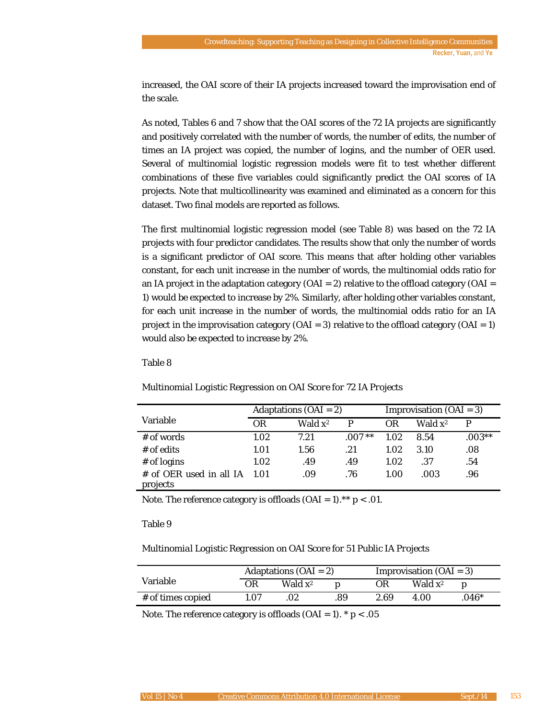increased, the OAI score of their IA projects increased toward the improvisation end of the scale.

As noted, Tables 6 and 7 show that the OAI scores of the 72 IA projects are significantly and positively correlated with the number of words, the number of edits, the number of times an IA project was copied, the number of logins, and the number of OER used. Several of multinomial logistic regression models were fit to test whether different combinations of these five variables could significantly predict the OAI scores of IA projects. Note that multicollinearity was examined and eliminated as a concern for this dataset. Two final models are reported as follows.

The first multinomial logistic regression model (see Table 8) was based on the 72 IA projects with four predictor candidates. The results show that only the number of words is a significant predictor of OAI score. This means that after holding other variables constant, for each unit increase in the number of words, the multinomial odds ratio for an IA project in the adaptation category ( $OAI = 2$ ) relative to the offload category ( $OAI =$ 1) would be expected to increase by 2%. Similarly, after holding other variables constant, for each unit increase in the number of words, the multinomial odds ratio for an IA project in the improvisation category  $(OAI = 3)$  relative to the offload category  $(OAI = 1)$ would also be expected to increase by 2%.

#### Table 8

|                         |           | Adaptations $(OAI = 2)$ |          | <b>Improvisation</b> $(OAI = 3)$ |            |          |  |
|-------------------------|-----------|-------------------------|----------|----------------------------------|------------|----------|--|
| <b>Variable</b>         | <b>OR</b> | Wald $x^2$              | P        | 0R                               | Wald $x^2$ | D        |  |
| $#$ of words            | 1.02      | 7.21                    | $.007**$ | 1.02                             | 8.54       | $.003**$ |  |
| # of edits              | 1.01      | 1.56                    | .21      | 1.02                             | 3.10       | .08      |  |
| $#$ of logins           | 1.02      | .49                     | .49      | 1.02                             | .37        | .54      |  |
| # of OER used in all IA | $-1.01$   | .09                     | .76      | 1.00                             | .003       | .96      |  |
| projects                |           |                         |          |                                  |            |          |  |

#### *Multinomial Logistic Regression on OAI Score for 72 IA Projects*

*Note.* The reference category is offloads  $(OAI = 1)$ . \*\*  $p < .01$ .

#### Table 9

#### *Multinomial Logistic Regression on OAI Score for 51 Public IA Projects*

|                   |     | Adaptations $(OAI = 2)$ |     |      | <b>Improvisation</b> $(OAI = 3)$ |       |  |
|-------------------|-----|-------------------------|-----|------|----------------------------------|-------|--|
| Variable          | ЭR  | Wald $x^2$              |     | OR   | Wald $x^2$                       |       |  |
| # of times copied | .07 | 02                      | .89 | 2.69 | 4.00                             | .046* |  |

*Note.* The reference category is offloads (OAI = 1).  $*$   $p$  < .05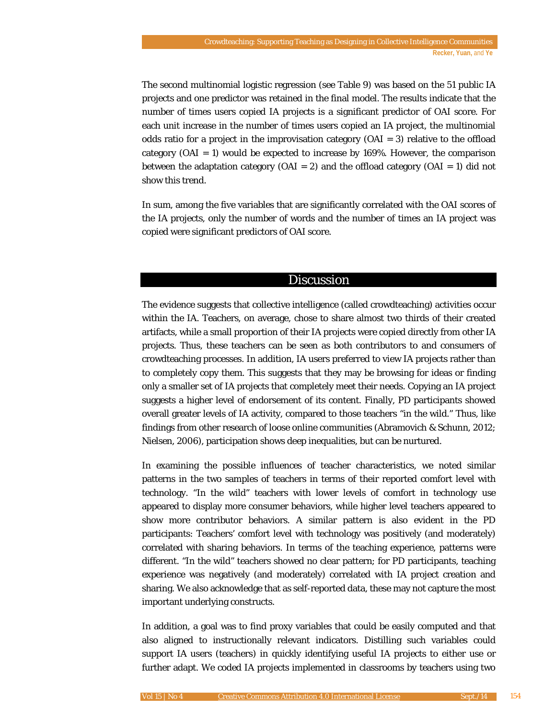The second multinomial logistic regression (see Table 9) was based on the 51 public IA projects and one predictor was retained in the final model. The results indicate that the number of times users copied IA projects is a significant predictor of OAI score. For each unit increase in the number of times users copied an IA project, the multinomial odds ratio for a project in the improvisation category  $(OAI = 3)$  relative to the offload category  $(OAI = 1)$  would be expected to increase by 169%. However, the comparison between the adaptation category ( $OAI = 2$ ) and the offload category ( $OAI = 1$ ) did not show this trend.

In sum, among the five variables that are significantly correlated with the OAI scores of the IA projects, only the number of words and the number of times an IA project was copied were significant predictors of OAI score.

### Discussion

The evidence suggests that collective intelligence (called crowdteaching) activities occur within the IA. Teachers, on average, chose to share almost two thirds of their created artifacts, while a small proportion of their IA projects were copied directly from other IA projects. Thus, these teachers can be seen as both contributors to and consumers of crowdteaching processes. In addition, IA users preferred to view IA projects rather than to completely copy them. This suggests that they may be browsing for ideas or finding only a smaller set of IA projects that completely meet their needs. Copying an IA project suggests a higher level of endorsement of its content. Finally, PD participants showed overall greater levels of IA activity, compared to those teachers "in the wild." Thus, like findings from other research of loose online communities (Abramovich & Schunn, 2012; Nielsen, 2006), participation shows deep inequalities, but can be nurtured.

In examining the possible influences of teacher characteristics, we noted similar patterns in the two samples of teachers in terms of their reported comfort level with technology. "In the wild" teachers with lower levels of comfort in technology use appeared to display more consumer behaviors, while higher level teachers appeared to show more contributor behaviors. A similar pattern is also evident in the PD participants: Teachers' comfort level with technology was positively (and moderately) correlated with sharing behaviors. In terms of the teaching experience, patterns were different. "In the wild" teachers showed no clear pattern; for PD participants, teaching experience was negatively (and moderately) correlated with IA project creation and sharing. We also acknowledge that as self-reported data, these may not capture the most important underlying constructs.

In addition, a goal was to find proxy variables that could be easily computed and that also aligned to instructionally relevant indicators. Distilling such variables could support IA users (teachers) in quickly identifying useful IA projects to either use or further adapt. We coded IA projects implemented in classrooms by teachers using two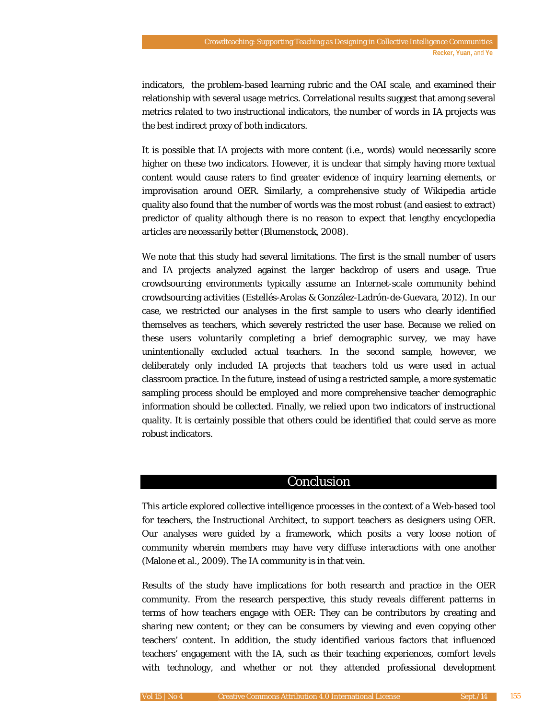indicators, the problem-based learning rubric and the OAI scale, and examined their relationship with several usage metrics. Correlational results suggest that among several metrics related to two instructional indicators, the number of words in IA projects was the best indirect proxy of both indicators.

It is possible that IA projects with more content (i.e., words) would necessarily score higher on these two indicators. However, it is unclear that simply having more textual content would cause raters to find greater evidence of inquiry learning elements, or improvisation around OER. Similarly, a comprehensive study of Wikipedia article quality also found that the number of words was the most robust (and easiest to extract) predictor of quality although there is no reason to expect that lengthy encyclopedia articles are necessarily better (Blumenstock, 2008).

We note that this study had several limitations. The first is the small number of users and IA projects analyzed against the larger backdrop of users and usage. True crowdsourcing environments typically assume an Internet-scale community behind crowdsourcing activities (Estellés-Arolas & González-Ladrón-de-Guevara, 2012). In our case, we restricted our analyses in the first sample to users who clearly identified themselves as teachers, which severely restricted the user base. Because we relied on these users voluntarily completing a brief demographic survey, we may have unintentionally excluded actual teachers. In the second sample, however, we deliberately only included IA projects that teachers told us were used in actual classroom practice. In the future, instead of using a restricted sample, a more systematic sampling process should be employed and more comprehensive teacher demographic information should be collected. Finally, we relied upon two indicators of instructional quality. It is certainly possible that others could be identified that could serve as more robust indicators.

### Conclusion

This article explored collective intelligence processes in the context of a Web-based tool for teachers, the Instructional Architect, to support teachers as designers using OER. Our analyses were guided by a framework, which posits a very loose notion of community wherein members may have very diffuse interactions with one another (Malone et al., 2009). The IA community is in that vein.

Results of the study have implications for both research and practice in the OER community. From the research perspective, this study reveals different patterns in terms of how teachers engage with OER: They can be contributors by creating and sharing new content; or they can be consumers by viewing and even copying other teachers' content. In addition, the study identified various factors that influenced teachers' engagement with the IA, such as their teaching experiences, comfort levels with technology, and whether or not they attended professional development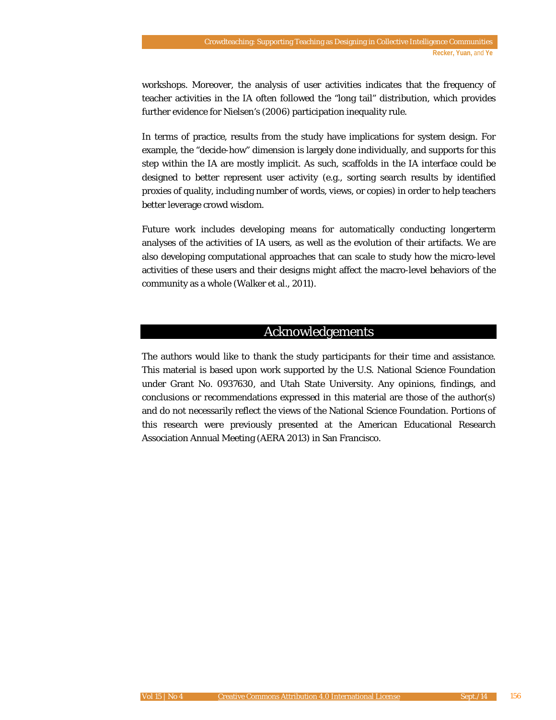workshops. Moreover, the analysis of user activities indicates that the frequency of teacher activities in the IA often followed the "long tail" distribution, which provides further evidence for Nielsen's (2006) participation inequality rule.

In terms of practice, results from the study have implications for system design. For example, the "decide-how" dimension is largely done individually, and supports for this step within the IA are mostly implicit. As such, scaffolds in the IA interface could be designed to better represent user activity (e.g., sorting search results by identified proxies of quality, including number of words, views, or copies) in order to help teachers better leverage crowd wisdom.

Future work includes developing means for automatically conducting longerterm analyses of the activities of IA users, as well as the evolution of their artifacts. We are also developing computational approaches that can scale to study how the micro-level activities of these users and their designs might affect the macro-level behaviors of the community as a whole (Walker et al., 2011).

### Acknowledgements

The authors would like to thank the study participants for their time and assistance. This material is based upon work supported by the U.S. National Science Foundation under Grant No. 0937630, and Utah State University. Any opinions, findings, and conclusions or recommendations expressed in this material are those of the author(s) and do not necessarily reflect the views of the National Science Foundation. Portions of this research were previously presented at the American Educational Research Association Annual Meeting (AERA 2013) in San Francisco.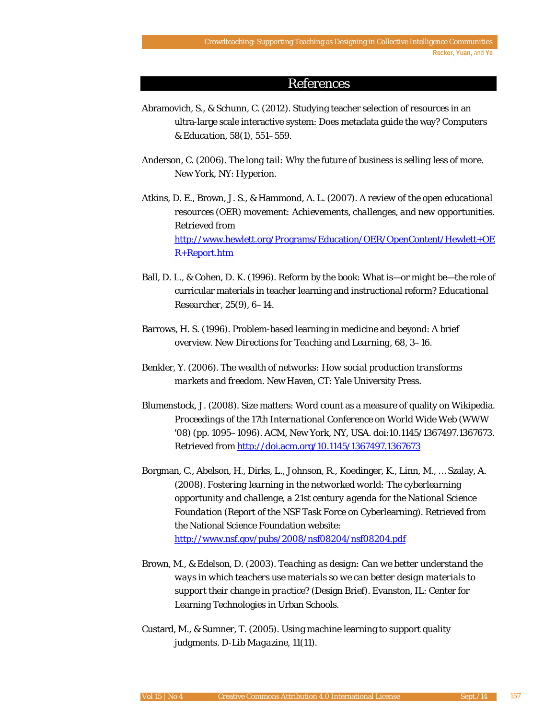#### References

- Abramovich, S., & Schunn, C. (2012). Studying teacher selection of resources in an ultra-large scale interactive system: Does metadata guide the way? *Computers & Education, 58*(1), 551–559.
- Anderson, C. (2006). *The long tail: Why the future of business is selling less of more*. New York, NY: Hyperion.
- Atkins, D. E., Brown, J. S., & Hammond, A. L. (2007). *A review of the open educational resources (OER) movement: Achievements, challenges, and new opportunities.* Retrieved from [http://www.hewlett.org/Programs/Education/OER/OpenContent/Hewlett+OE](http://www.hewlett.org/Programs/Education/OER/OpenContent/Hewlett+OER+Report.htm) [R+Report.htm](http://www.hewlett.org/Programs/Education/OER/OpenContent/Hewlett+OER+Report.htm)
- Ball, D. L., & Cohen, D. K. (1996). Reform by the book: What is—or might be—the role of curricular materials in teacher learning and instructional reform? *Educational Researcher, 25*(9), 6–14.
- Barrows, H. S. (1996). Problem-based learning in medicine and beyond: A brief overview. *New Directions for Teaching and Learning, 68,* 3–16.
- Benkler, Y. (2006). *The wealth of networks: How social production transforms markets and freedom*. New Haven, CT: Yale University Press.
- Blumenstock, J. (2008). Size matters: Word count as a measure of quality on Wikipedia. *Proceedings of the 17th International Conference on World Wide Web* (WWW '08) (pp. 1095–1096). ACM, New York, NY, USA. doi:10.1145/1367497.1367673. Retrieved from<http://doi.acm.org/10.1145/1367497.1367673>
- Borgman, C., Abelson, H., Dirks, L., Johnson, R., Koedinger, K., Linn, M., … Szalay, A. (2008). *Fostering learning in the networked world: The cyberlearning opportunity and challenge, a 21st century agenda for the National Science Foundation* (Report of the NSF Task Force on Cyberlearning). Retrieved from the National Science Foundation website: <http://www.nsf.gov/pubs/2008/nsf08204/nsf08204.pdf>
- Brown, M., & Edelson, D. (2003). *Teaching as design: Can we better understand the ways in which teachers use materials so we can better design materials to support their change in practice?* (Design Brief). Evanston, IL: Center for Learning Technologies in Urban Schools.
- Custard, M., & Sumner, T. (2005). Using machine learning to support quality judgments. *D-Lib Magazine, 11*(11).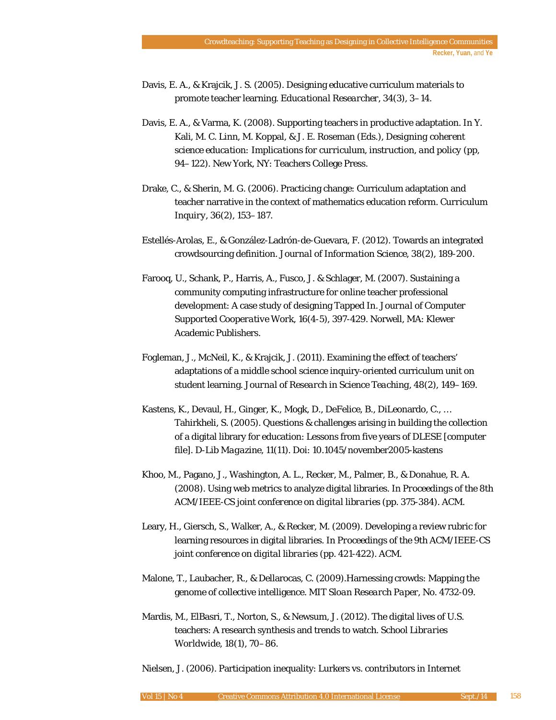- Davis, E. A., & Krajcik, J. S. (2005). Designing educative curriculum materials to promote teacher learning. *Educational Researcher, 34*(3), 3–14.
- Davis, E. A., & Varma, K. (2008). Supporting teachers in productive adaptation. In Y. Kali, M. C. Linn, M. Koppal, & J. E. Roseman (Eds.), *Designing coherent science education: Implications for curriculum, instruction, and policy* (pp, 94–122). New York, NY: Teachers College Press.
- Drake, C., & Sherin, M. G. (2006). Practicing change: Curriculum adaptation and teacher narrative in the context of mathematics education reform. *Curriculum Inquiry*, *36*(2), 153–187.
- Estellés-Arolas, E., & González-Ladrón-de-Guevara, F. (2012). Towards an integrated crowdsourcing definition. *Journal of Information Science, 38*(2), 189-200.
- Farooq, U., Schank, P., Harris, A., Fusco, J. & Schlager, M. (2007). Sustaining a community computing infrastructure for online teacher professional development: A case study of designing Tapped In. *Journal of Computer Supported Cooperative Work, 16*(4-5), 397-429. Norwell, MA: Klewer Academic Publishers.
- Fogleman, J., McNeil, K., & Krajcik, J. (2011). Examining the effect of teachers' adaptations of a middle school science inquiry-oriented curriculum unit on student learning. *Journal of Research in Science Teaching, 48*(2), 149–169.
- Kastens, K., Devaul, H., Ginger, K., Mogk, D., DeFelice, B., DiLeonardo, C., … Tahirkheli, S. (2005). Questions & challenges arising in building the collection of a digital library for education: Lessons from five years of DLESE [computer file]. *D-Lib Magazine, 11*(11). Doi: 10.1045/november2005-kastens
- Khoo, M., Pagano, J., Washington, A. L., Recker, M., Palmer, B., & Donahue, R. A. (2008). Using web metrics to analyze digital libraries. In *Proceedings of the 8th ACM/IEEE-CS joint conference on digital libraries* (pp. 375-384). ACM.
- Leary, H., Giersch, S., Walker, A., & Recker, M. (2009). Developing a review rubric for learning resources in digital libraries. In *Proceedings of the 9th ACM/IEEE-CS joint conference on digital libraries* (pp. 421-422). ACM.
- Malone, T., Laubacher, R., & Dellarocas, C. (2009).Harnessing crowds: Mapping the genome of collective intelligence. *MIT Sloan Research Paper, No. 4732-09*.
- Mardis, M., ElBasri, T., Norton, S., & Newsum, J. (2012). The digital lives of U.S. teachers: A research synthesis and trends to watch. *School Libraries Worldwide, 18*(1), 70–86.
- Nielsen, J. (2006). [Participation inequality: Lurkers vs. contributors in Internet](http://www.useit.com/alertbox/participation_inequality.html)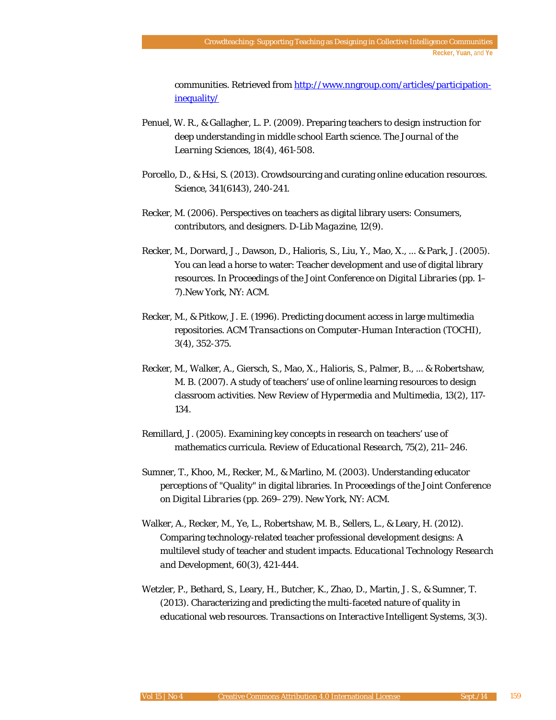[communities.](http://www.useit.com/alertbox/participation_inequality.html) Retrieved from [http://www.nngroup.com/articles/participation](http://www.nngroup.com/articles/participation-inequality/)[inequality/](http://www.nngroup.com/articles/participation-inequality/)

- Penuel, W. R., & Gallagher, L. P. (2009). Preparing teachers to design instruction for deep understanding in middle school Earth science. *The Journal of the Learning Sciences*, *18*(4), 461-508.
- Porcello, D., & Hsi, S. (2013). Crowdsourcing and curating online education resources. *Science*, *341*(6143), 240-241.
- Recker, M. (2006). Perspectives on teachers as digital library users: Consumers, contributors, and designers. *D-Lib Magazine, 12*(9).
- Recker, M., Dorward, J., Dawson, D., Halioris, S., Liu, Y., Mao, X., ... & Park, J. (2005). You can lead a horse to water: Teacher development and use of digital library resources. In *Proceedings of the Joint Conference on Digital Libraries* (pp. 1– 7).New York, NY: ACM.
- Recker, M., & Pitkow, J. E. (1996). Predicting document access in large multimedia repositories. *ACM Transactions on Computer-Human Interaction (TOCHI), 3*(4), 352-375.
- Recker, M., Walker, A., Giersch, S., Mao, X., Halioris, S., Palmer, B., ... & Robertshaw, M. B. (2007). A study of teachers' use of online learning resources to design classroom activities. *New Review of Hypermedia and Multimedia, 13*(2), 117- 134.
- Remillard, J. (2005). Examining key concepts in research on teachers' use of mathematics curricula. *Review of Educational Research, 75*(2), 211–246.
- Sumner, T., Khoo, M., Recker, M., & Marlino, M. (2003). Understanding educator perceptions of "Quality" in digital libraries. In *Proceedings of the Joint Conference on Digital Libraries* (pp. 269–279). New York, NY: ACM.
- Walker, A., Recker, M., Ye, L., Robertshaw, M. B., Sellers, L., & Leary, H. (2012). Comparing technology-related teacher professional development designs: A multilevel study of teacher and student impacts. *Educational Technology Research and Development*, 60(3), 421-444.
- Wetzler, P., Bethard, S., Leary, H., Butcher, K., Zhao, D., Martin, J. S., & Sumner, T. (2013). Characterizing and predicting the multi-faceted nature of quality in educational web resources. *Transactions on Interactive Intelligent Systems*, *3*(3).